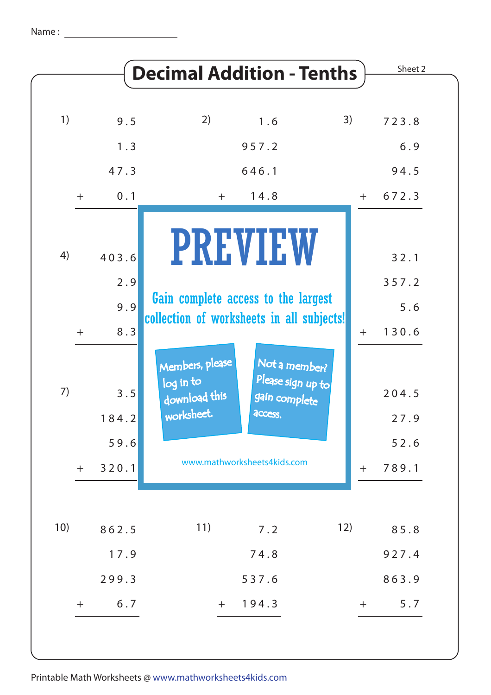1 7 . 9

2 9 9 . 3

 $+$ 

6 . 7

|             |                               | <b>Decimal Addition - Tenths</b>                                                                                                                             |       |
|-------------|-------------------------------|--------------------------------------------------------------------------------------------------------------------------------------------------------------|-------|
| 1)          | 9.5                           | 2)<br>3)<br>1.6                                                                                                                                              |       |
|             | 1.3                           | 957.2                                                                                                                                                        |       |
|             | 47.3                          | 646.1                                                                                                                                                        |       |
| $+$         | 0.1                           | 14.8<br>$+$                                                                                                                                                  | $+$   |
| 4)<br>$\pm$ | 403.6<br>2.9<br>9.9<br>8.3    | <b>PREVIEW</b><br>Gain complete access to the largest<br>collection of worksheets in all subjects!                                                           | $\pm$ |
| 7)<br>$+$   | 3.5<br>184.2<br>59.6<br>320.1 | Members, please<br>Not a member?<br>Please sign up to<br>log in to<br>download this<br>gain complete<br>worksheet.<br>access.<br>www.mathworksheets4kids.com | $+$   |

7 4 . 8

7 2 3 . 8

6 . 9

Sheet 2

9 4 . 5

6 7 2 . 3

3 2 . 1

3 5 7 . 2

1 3 0 . 6

2 0 4 . 5

2 7 . 9

5 2 . 6

7 8 9 . 1

8 5 . 8

9 2 7 . 4

8 6 3 . 9

 $+$ 

5 . 7

5 . 6

5 3 7 . 6

 $+ 194.3$